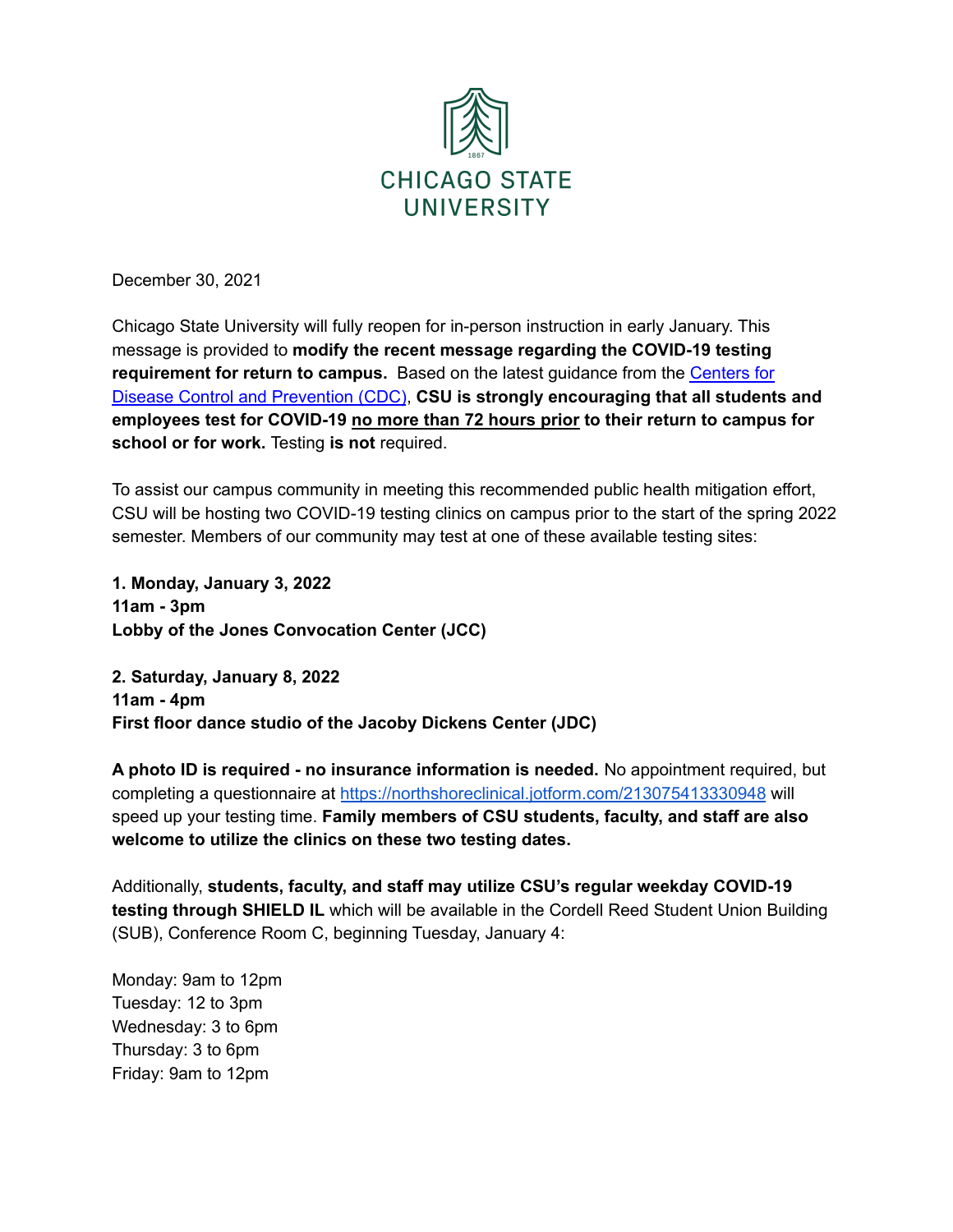

December 30, 2021

Chicago State University will fully reopen for in-person instruction in early January. This message is provided to **modify the recent message regarding the COVID-19 testing requirement for return to campus.** Based on the latest guidance from the [Centers](https://www.cdc.gov/media/releases/2021/s1227-isolation-quarantine-guidance.html) for Disease Control and [Prevention](https://www.cdc.gov/media/releases/2021/s1227-isolation-quarantine-guidance.html) (CDC), **CSU is strongly encouraging that all students and employees test for COVID-19 no more than 72 hours prior to their return to campus for school or for work.** Testing **is not** required.

To assist our campus community in meeting this recommended public health mitigation effort, CSU will be hosting two COVID-19 testing clinics on campus prior to the start of the spring 2022 semester. Members of our community may test at one of these available testing sites:

**1. Monday, January 3, 2022 11am - 3pm Lobby of the Jones Convocation Center (JCC)**

**2. Saturday, January 8, 2022 11am - 4pm First floor dance studio of the Jacoby Dickens Center (JDC)**

**A photo ID is required - no insurance information is needed.** No appointment required, but completing a questionnaire at <https://northshoreclinical.jotform.com/213075413330948> will speed up your testing time. **Family members of CSU students, faculty, and staff are also welcome to utilize the clinics on these two testing dates.**

Additionally, **students, faculty, and staff may utilize CSU's regular weekday COVID-19 testing through SHIELD IL** which will be available in the Cordell Reed Student Union Building (SUB), Conference Room C, beginning Tuesday, January 4:

Monday: 9am to 12pm Tuesday: 12 to 3pm Wednesday: 3 to 6pm Thursday: 3 to 6pm Friday: 9am to 12pm